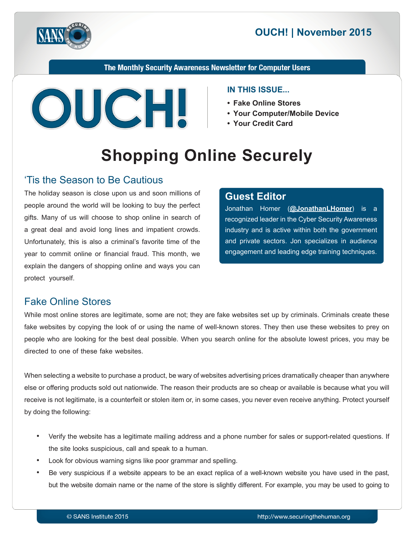



The Monthly Security Awareness Newsletter for Computer Users



#### **IN THIS ISSUE...**

- Fake Online Stores
- Your Computer/Mobile Device
- Your Credit Card

# **Shopping Online Securely**

#### Tis the Season to Be Cautious

The holiday season is close upon us and soon millions of people around the world will be looking to buy the perfect gifts. Many of us will choose to shop online in search of a great deal and avoid long lines and impatient crowds. Unfortunately, this is also a criminal's favorite time of the year to commit online or financial fraud. This month, we explain the dangers of shopping online and ways you can protect yourself.

#### **Editor Guest**

Jonathan Homer (@[JonathanLHomer](https://twitter.com/jonathanlhomer)) is a recognized leader in the Cyber Security Awareness industry and is active within both the government and private sectors. Jon specializes in audience engagement and leading edge training techniques.

### **Fake Online Stores**

While most online stores are legitimate, some are not; they are fake websites set up by criminals. Criminals create these fake websites by copying the look of or using the name of well-known stores. They then use these websites to prey on people who are looking for the best deal possible. When you search online for the absolute lowest prices, you may be directed to one of these fake websites.

When selecting a website to purchase a product, be wary of websites advertising prices dramatically cheaper than anywhere else or offering products sold out nationwide. The reason their products are so cheap or available is because what you will receive is not legitimate, is a counterfeit or stolen item or, in some cases, you never even receive anything. Protect yourself by doing the following:

- Verify the website has a legitimate mailing address and a phone number for sales or support-related questions. If the site looks suspicious, call and speak to a human.
- Look for obvious warning signs like poor grammar and spelling.
- Be very suspicious if a website appears to be an exact replica of a well-known website you have used in the past, but the website domain name or the name of the store is slightly different. For example, you may be used to going to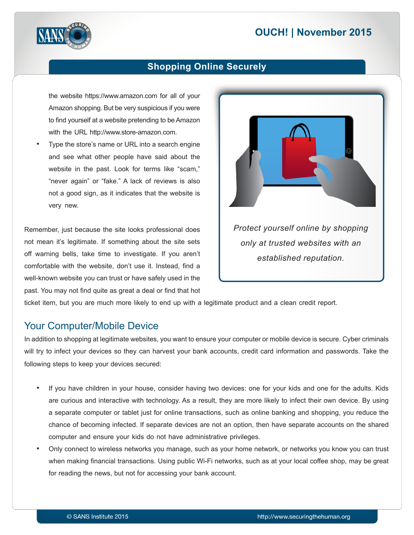# **2015 November 2015**



#### **Shopping Online Securely**

the website https://www.amazon.com for all of your Amazon shopping. But be very suspicious if you were to find yourself at a website pretending to be Amazon with the URL http://www.store-amazon.com.

Type the store's name or URL into a search engine and see what other people have said about the website in the past. Look for terms like "scam," "never again" or "fake." A lack of reviews is also not a good sign, as it indicates that the website is very new.

Remember, just because the site looks professional does not mean it's legitimate. If something about the site sets off warning bells, take time to investigate. If you aren't comfortable with the website, don't use it. Instead, find a well-known website you can trust or have safely used in the past. You may not find quite as great a deal or find that hot



ticket item, but you are much more likely to end up with a legitimate product and a clean credit report.

#### Your Computer/Mobile Device

In addition to shopping at legitimate websites, you want to ensure your computer or mobile device is secure. Cyber criminals will try to infect your devices so they can harvest your bank accounts, credit card information and passwords. Take the following steps to keep your devices secured:

- If you have children in your house, consider having two devices: one for your kids and one for the adults. Kids are curious and interactive with technology. As a result, they are more likely to infect their own device. By using a separate computer or tablet just for online transactions, such as online banking and shopping, you reduce the chance of becoming infected. If separate devices are not an option, then have separate accounts on the shared computer and ensure your kids do not have administrative privileges.
- Only connect to wireless networks you manage, such as your home network, or networks you know you can trust when making financial transactions. Using public Wi-Fi networks, such as at your local coffee shop, may be great for reading the news, but not for accessing your bank account.